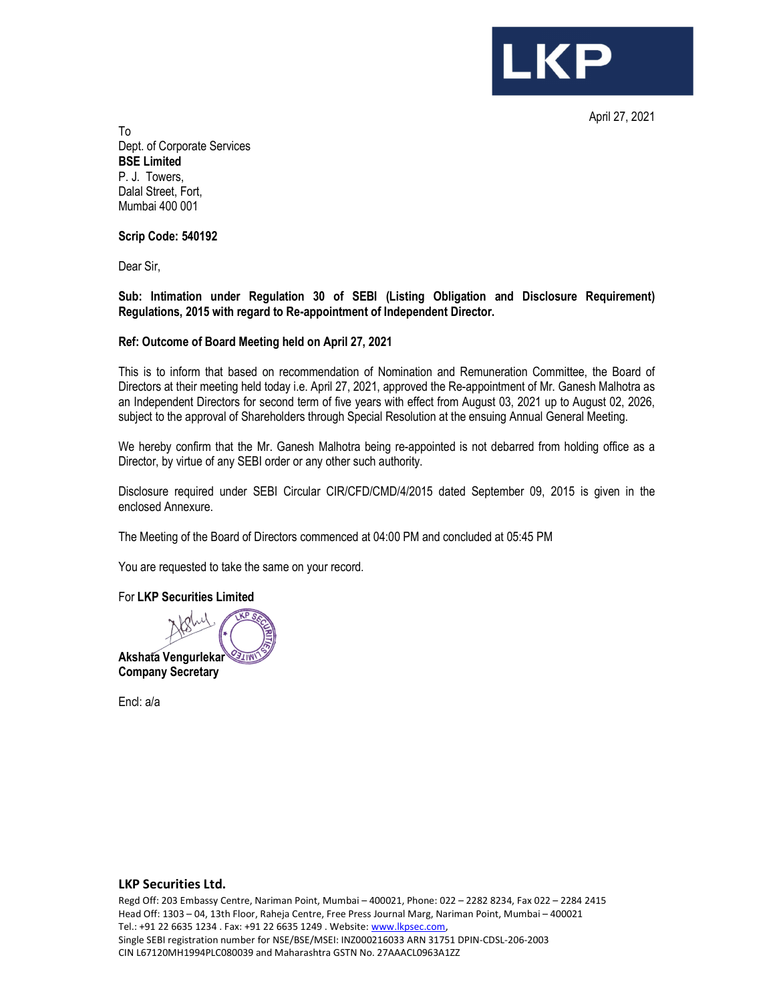

April 27, 2021

To Dept. of Corporate Services BSE Limited P. J. Towers, Dalal Street, Fort, Mumbai 400 001

Scrip Code: 540192

Dear Sir,

Sub: Intimation under Regulation 30 of SEBI (Listing Obligation and Disclosure Requirement) Regulations, 2015 with regard to Re-appointment of Independent Director.

## Ref: Outcome of Board Meeting held on April 27, 2021

This is to inform that based on recommendation of Nomination and Remuneration Committee, the Board of Directors at their meeting held today i.e. April 27, 2021, approved the Re-appointment of Mr. Ganesh Malhotra as an Independent Directors for second term of five years with effect from August 03, 2021 up to August 02, 2026, subject to the approval of Shareholders through Special Resolution at the ensuing Annual General Meeting.

We hereby confirm that the Mr. Ganesh Malhotra being re-appointed is not debarred from holding office as a Director, by virtue of any SEBI order or any other such authority.

Disclosure required under SEBI Circular CIR/CFD/CMD/4/2015 dated September 09, 2015 is given in the enclosed Annexure.

The Meeting of the Board of Directors commenced at 04:00 PM and concluded at 05:45 PM

You are requested to take the same on your record.

For LKP Securities Limited



Encl: a/a

## LKP Securities Ltd.

Regd Off: 203 Embassy Centre, Nariman Point, Mumbai – 400021, Phone: 022 – 2282 8234, Fax 022 – 2284 2415 Head Off: 1303 – 04, 13th Floor, Raheja Centre, Free Press Journal Marg, Nariman Point, Mumbai – 400021 Tel.: +91 22 6635 1234 . Fax: +91 22 6635 1249 . Website: www.lkpsec.com, Single SEBI registration number for NSE/BSE/MSEI: INZ000216033 ARN 31751 DPIN-CDSL-206-2003 CIN L67120MH1994PLC080039 and Maharashtra GSTN No. 27AAACL0963A1ZZ